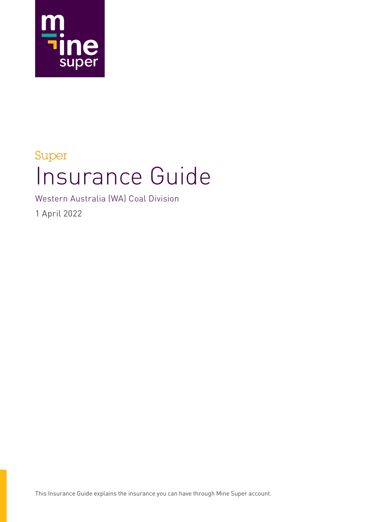

## Super Insurance Guide

Western Australia (WA) Coal Division

1 April 2022

This Insurance Guide explains the insurance you can have through Mine Super account.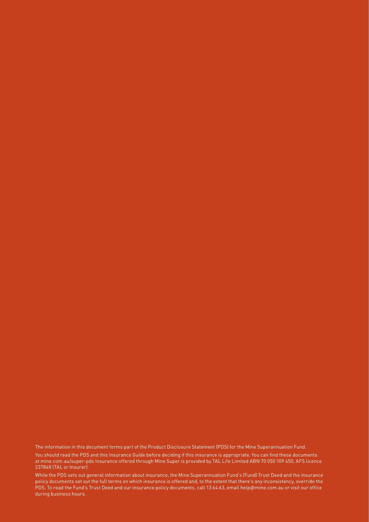The information in this document forms part of the Product Disclosure Statement (PDS) for the Mine Superannuation Fund. You should read the PDS and this Insurance Guide before deciding if this insurance is appropriate. You can find these documents at mine.com.au/super-pds Insurance offered through Mine Super is provided by TAL Life Limited ABN 70 050 109 450, AFS licence 237848 (TAL or Insurer).

While the PDS sets out general information about insurance, the Mine Superannuation Fund's (Fund) Trust Deed and the insurance policy documents set out the full terms on which insurance is offered and, to the extent that there's any inconsistency, override the PDS. To read the Fund's Trust Deed and our insurance policy documents, call 13 64 63, email help@mine.com.au or visit our office during business hours.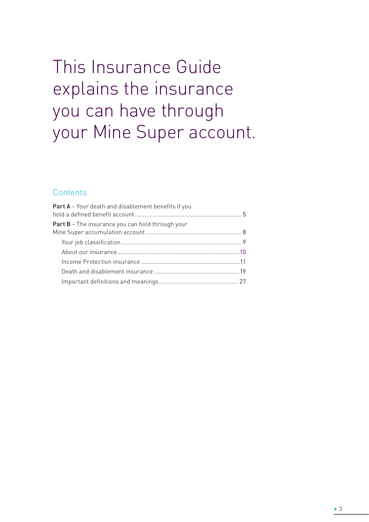# This Insurance Guide explains the insurance you can have through your Mine Super account.

## **Contents**

| <b>Part A</b> - Your death and disablement benefits if you |  |
|------------------------------------------------------------|--|
| <b>Part B</b> – The insurance you can hold through your    |  |
|                                                            |  |
|                                                            |  |
|                                                            |  |
|                                                            |  |
|                                                            |  |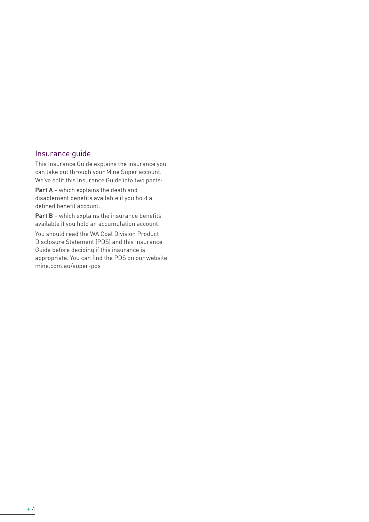## Insurance guide

This Insurance Guide explains the insurance you can take out through your Mine Super account. We've split this Insurance Guide into two parts:

**Part A** – which explains the death and disablement benefits available if you hold a defined benefit account.

**Part B** – which explains the insurance benefits available if you hold an accumulation account.

You should read the WA Coal Division Product Disclosure Statement (PDS) and this Insurance Guide before deciding if this insurance is appropriate. You can find the PDS on our website mine.com.au/super-pds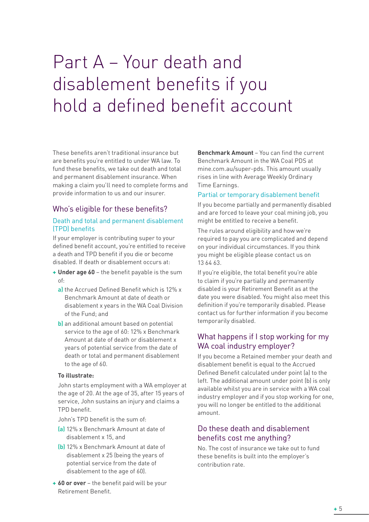# Part A – Your death and disablement benefits if you hold a defined benefit account

These benefits aren't traditional insurance but are benefits you're entitled to under WA law. To fund these benefits, we take out death and total and permanent disablement insurance. When making a claim you'll need to complete forms and provide information to us and our insurer.

## Who's eligible for these benefits?

#### Death and total and permanent disablement (TPD) benefits

If your employer is contributing super to your defined benefit account, you're entitled to receive a death and TPD benefit if you die or become disabled. If death or disablement occurs at:

- **+ Under age 60** the benefit payable is the sum of:
	- a) the Accrued Defined Benefit which is 12% x Benchmark Amount at date of death or disablement x years in the WA Coal Division of the Fund; and
	- b) an additional amount based on potential service to the age of 60: 12% x Benchmark Amount at date of death or disablement x years of potential service from the date of death or total and permanent disablement to the age of 60.

#### **To illustrate:**

John starts employment with a WA employer at the age of 20. At the age of 35, after 15 years of service, John sustains an injury and claims a TPD benefit.

John's TPD benefit is the sum of:

- (a) 12% x Benchmark Amount at date of disablement x 15, and
- (b) 12% x Benchmark Amount at date of disablement x 25 (being the years of potential service from the date of disablement to the age of 60).
- **+ 60 or over**  the benefit paid will be your Retirement Benefit.

**Benchmark Amount** – You can find the current Benchmark Amount in the WA Coal PDS at mine.com.au/super-pds. This amount usually rises in line with Average Weekly Ordinary Time Earnings.

#### Partial or temporary disablement benefit

If you become partially and permanently disabled and are forced to leave your coal mining job, you might be entitled to receive a benefit.

The rules around eligibility and how we're required to pay you are complicated and depend on your individual circumstances. If you think you might be eligible please contact us on 13 64 63.

If you're eligible, the total benefit you're able to claim if you're partially and permanently disabled is your Retirement Benefit as at the date you were disabled. You might also meet this definition if you're temporarily disabled. Please contact us for further information if you become temporarily disabled.

## What happens if I stop working for my WA coal industry employer?

If you become a Retained member your death and disablement benefit is equal to the Accrued Defined Benefit calculated under point (a) to the left. The additional amount under point (b) is only available whilst you are in service with a WA coal industry employer and if you stop working for one, you will no longer be entitled to the additional amount.

## Do these death and disablement benefits cost me anything?

No. The cost of insurance we take out to fund these benefits is built into the employer's contribution rate.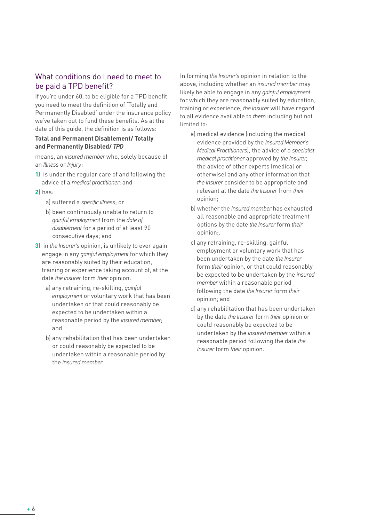## What conditions do I need to meet to be paid a TPD benefit?

If you're under 60, to be eligible for a TPD benefit you need to meet the definition of 'Totally and Permanently Disabled' under the insurance policy we've taken out to fund these benefits. As at the date of this guide, the definition is as follows:

#### **Total and Permanent Disablement/ Totally and Permanently Disabled/** *TPD*

means, an *insured member* who, solely because of an *Illness* or *Injury*:

- **1)** is under the regular care of and following the advice of a *medical practitioner*; and
- **2)** has:
	- a) suffered a *specific illness*; or
	- b) been continuously unable to return to *gainful employment* from the *date of disablement* for a period of at least 90 consecutive days; and
- **3)** in *the Insurer's* opinion, is unlikely to ever again engage in any *gainful employment* for which they are reasonably suited by their education, training or experience taking account of, at the date *the Insurer* form *their* opinion:
	- a) any retraining, re-skilling, *gainful employment* or voluntary work that has been undertaken or that could reasonably be expected to be undertaken within a reasonable period by the *insured member*; and
	- b) any rehabilitation that has been undertaken or could reasonably be expected to be undertaken within a reasonable period by the *insured member*.

In forming *the Insurer's* opinion in relation to the above, including whether an *insured member* may likely be able to engage in any *gainful employment* for which they are reasonably suited by education, training or experience, *the Insurer* will have regard to all evidence available to *them* including but not limited to:

- a) medical evidence (including the medical evidence provided by the *Insured Member's Medical Practitioners*), the advice of a *specialist medical practitioner* approved by *the Insurer*, the advice of other experts (medical or otherwise) and any other information that *the Insurer* consider to be appropriate and relevant at the date *the Insurer* from *their* opinion;
- b) whether the *insured member* has exhausted all reasonable and appropriate treatment options by the date *the Insurer* form *their* opinion;.
- c) any retraining, re-skilling, gainful employment or voluntary work that has been undertaken by the date *the Insurer* form *their* opinion, or that could reasonably be expected to be undertaken by the *insured member* within a reasonable period following the date *the Insurer* form *their* opinion; and
- d) any rehabilitation that has been undertaken by the date *the Insurer* form *their* opinion or could reasonably be expected to be undertaken by the *insured member* within a reasonable period following the date *the Insurer* form *their* opinion.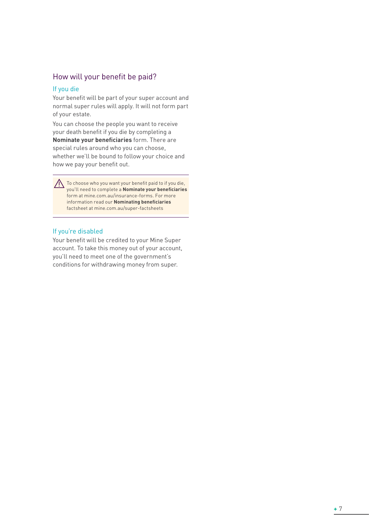## How will your benefit be paid?

#### If you die

Your benefit will be part of your super account and normal super rules will apply. It will not form part of your estate.

You can choose the people you want to receive your death benefit if you die by completing a **Nominate your beneficiaries** form. There are special rules around who you can choose, whether we'll be bound to follow your choice and how we pay your benefit out.

 $\bigwedge$  To choose who you want your benefit paid to if you die, you'll need to complete a **Nominate your beneficiaries** form at mine.com.au/insurance-forms. For more information read our **Nominating beneficiaries**  factsheet at mine.com.au/super-factsheets

#### If you're disabled

Your benefit will be credited to your Mine Super account. To take this money out of your account, you'll need to meet one of the government's conditions for withdrawing money from super.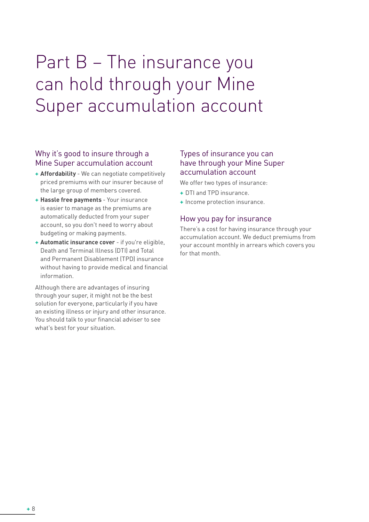# Part B – The insurance you can hold through your Mine Super accumulation account

## Why it's good to insure through a Mine Super accumulation account

- **+ Affordability**  We can negotiate competitively priced premiums with our insurer because of the large group of members covered.
- **+ Hassle free payments**  Your insurance is easier to manage as the premiums are automatically deducted from your super account, so you don't need to worry about budgeting or making payments.
- **+ Automatic insurance cover** if you're eligible, Death and Terminal Illness (DTI) and Total and Permanent Disablement (TPD) insurance without having to provide medical and financial information.

Although there are advantages of insuring through your super, it might not be the best solution for everyone, particularly if you have an existing illness or injury and other insurance. You should talk to your financial adviser to see what's best for your situation.

## Types of insurance you can have through your Mine Super accumulation account

We offer two types of insurance:

- **+** DTI and TPD insurance.
- **+** Income protection insurance.

## How you pay for insurance

There's a cost for having insurance through your accumulation account. We deduct premiums from your account monthly in arrears which covers you for that month.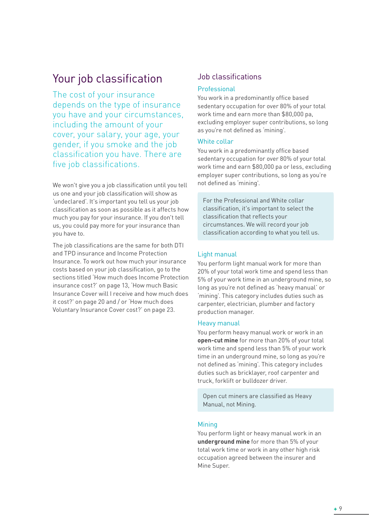## Your job classification

The cost of your insurance depends on the type of insurance you have and your circumstances, including the amount of your cover, your salary, your age, your gender, if you smoke and the job classification you have. There are five job classifications.

We won't give you a job classification until you tell us one and your job classification will show as 'undeclared'. It's important you tell us your job classification as soon as possible as it affects how much you pay for your insurance. If you don't tell us, you could pay more for your insurance than you have to.

The job classifications are the same for both DTI and TPD insurance and Income Protection Insurance. To work out how much your insurance costs based on your job classification, go to the sections titled 'How much does Income Protection insurance cost?' on page 13, 'How much Basic Insurance Cover will I receive and how much does it cost?' on page 20 and / or 'How much does Voluntary Insurance Cover cost?' on page 23.

## Job classifications

#### Professional

You work in a predominantly office based sedentary occupation for over 80% of your total work time and earn more than \$80,000 pa, excluding employer super contributions, so long as you're not defined as 'mining'.

#### White collar

You work in a predominantly office based sedentary occupation for over 80% of your total work time and earn \$80,000 pa or less, excluding employer super contributions, so long as you're not defined as 'mining'.

For the Professional and White collar classification, it's important to select the classification that reflects your circumstances. We will record your job classification according to what you tell us.

#### Light manual

You perform light manual work for more than 20% of your total work time and spend less than 5% of your work time in an underground mine, so long as you're not defined as 'heavy manual' or 'mining'. This category includes duties such as carpenter, electrician, plumber and factory production manager.

#### Heavy manual

You perform heavy manual work or work in an **open-cut mine** for more than 20% of your total work time and spend less than 5% of your work time in an underground mine, so long as you're not defined as 'mining'. This category includes duties such as bricklayer, roof carpenter and truck, forklift or bulldozer driver.

Open cut miners are classified as Heavy Manual, not Mining.

#### **Mining**

You perform light or heavy manual work in an **underground mine** for more than 5% of your total work time or work in any other high risk occupation agreed between the insurer and Mine Super.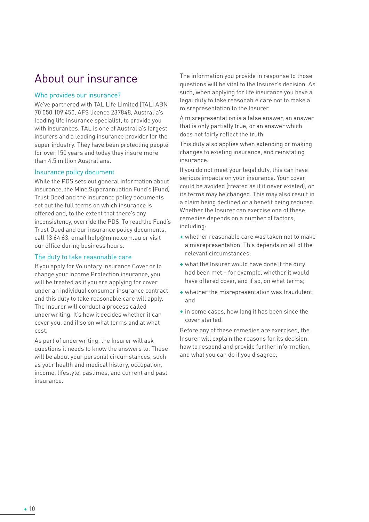## About our insurance

#### Who provides our insurance?

We've partnered with TAL Life Limited (TAL) ABN 70 050 109 450, AFS licence 237848, Australia's leading life insurance specialist, to provide you with insurances. TAL is one of Australia's largest insurers and a leading insurance provider for the super industry. They have been protecting people for over 150 years and today they insure more than 4.5 million Australians.

#### Insurance policy document

While the PDS sets out general information about insurance, the Mine Superannuation Fund's (Fund) Trust Deed and the insurance policy documents set out the full terms on which insurance is offered and, to the extent that there's any inconsistency, override the PDS. To read the Fund's Trust Deed and our insurance policy documents, call 13 64 63, email help@mine.com.au or visit our office during business hours.

#### The duty to take reasonable care

If you apply for Voluntary Insurance Cover or to change your Income Protection insurance, you will be treated as if you are applying for cover under an individual consumer insurance contract and this duty to take reasonable care will apply. The Insurer will conduct a process called underwriting. It's how it decides whether it can cover you, and if so on what terms and at what cost.

As part of underwriting, the Insurer will ask questions it needs to know the answers to. These will be about your personal circumstances, such as your health and medical history, occupation, income, lifestyle, pastimes, and current and past insurance.

The information you provide in response to those questions will be vital to the Insurer's decision. As such, when applying for life insurance you have a legal duty to take reasonable care not to make a misrepresentation to the Insurer.

A misrepresentation is a false answer, an answer that is only partially true, or an answer which does not fairly reflect the truth.

This duty also applies when extending or making changes to existing insurance, and reinstating insurance.

If you do not meet your legal duty, this can have serious impacts on your insurance. Your cover could be avoided (treated as if it never existed), or its terms may be changed. This may also result in a claim being declined or a benefit being reduced. Whether the Insurer can exercise one of these remedies depends on a number of factors, including:

- **+** whether reasonable care was taken not to make a misrepresentation. This depends on all of the relevant circumstances;
- **+** what the Insurer would have done if the duty had been met – for example, whether it would have offered cover, and if so, on what terms;
- **+** whether the misrepresentation was fraudulent; and
- **+** in some cases, how long it has been since the cover started.

Before any of these remedies are exercised, the Insurer will explain the reasons for its decision, how to respond and provide further information, and what you can do if you disagree.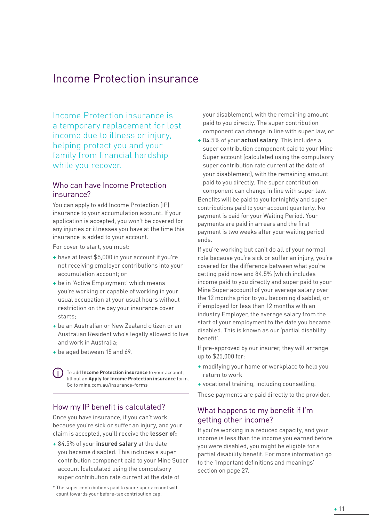## Income Protection insurance

Income Protection insurance is a temporary replacement for lost income due to illness or injury, helping protect you and your family from financial hardship while you recover.

## Who can have Income Protection insurance?

You can apply to add Income Protection (IP) insurance to your accumulation account. If your application is accepted, you won't be covered for any injuries or illnesses you have at the time this insurance is added to your account.

For cover to start, you must:

- **+** have at least \$5,000 in your account if you're not receiving employer contributions into your accumulation account; or
- **+** be in 'Active Employment' which means you're working or capable of working in your usual occupation at your usual hours without restriction on the day your insurance cover starts;
- **+** be an Australian or New Zealand citizen or an Australian Resident who's legally allowed to live and work in Australia;
- **+** be aged between 15 and 69.

To add **Income Protection insurance** to your account, fill out an **Apply for Income Protection insurance** form. Go to mine.com.au/insurance-forms

## How my IP benefit is calculated?

Once you have insurance, if you can't work because you're sick or suffer an injury, and your claim is accepted, you'll receive the **lesser of:**

**+** 84.5% of your **insured salary** at the date you became disabled. This includes a super contribution component paid to your Mine Super account (calculated using the compulsory super contribution rate current at the date of

\* The super contributions paid to your super account will count towards your before-tax contribution cap.

your disablement), with the remaining amount paid to you directly. The super contribution component can change in line with super law, or

**+** 84.5% of your **actual salary**. This includes a super contribution component paid to your Mine Super account (calculated using the compulsory super contribution rate current at the date of your disablement), with the remaining amount paid to you directly. The super contribution component can change in line with super law. Benefits will be paid to you fortnightly and super contributions paid to your account quarterly. No payment is paid for your Waiting Period. Your payments are paid in arrears and the first payment is two weeks after your waiting period ends.

If you're working but can't do all of your normal role because you're sick or suffer an injury, you're covered for the difference between what you're getting paid now and 84.5% (which includes income paid to you directly and super paid to your Mine Super account) of your average salary over the 12 months prior to you becoming disabled, or if employed for less than 12 months with an industry Employer, the average salary from the start of your employment to the date you became disabled. This is known as our 'partial disability benefit'.

If pre-approved by our insurer, they will arrange up to \$25,000 for:

- **+** modifying your home or workplace to help you return to work
- **+** vocational training, including counselling.

These payments are paid directly to the provider.

## What happens to my benefit if I'm getting other income?

If you're working in a reduced capacity, and your income is less than the income you earned before you were disabled, you might be eligible for a partial disability benefit. For more information go to the 'Important definitions and meanings' section on page 27.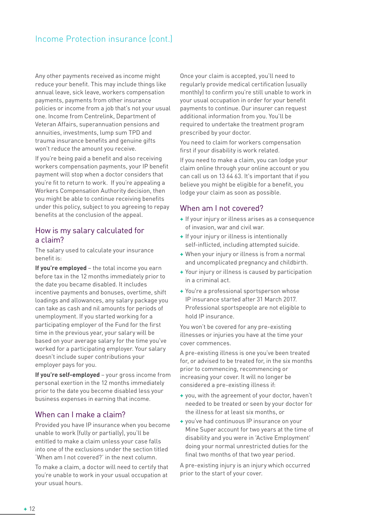## Income Protection insurance (cont.)

Any other payments received as income might reduce your benefit. This may include things like annual leave, sick leave, workers compensation payments, payments from other insurance policies or income from a job that's not your usual one. Income from Centrelink, Department of Veteran Affairs, superannuation pensions and annuities, investments, lump sum TPD and trauma insurance benefits and genuine gifts won't reduce the amount you receive.

If you're being paid a benefit and also receiving workers compensation payments, your IP benefit payment will stop when a doctor considers that you're fit to return to work. If you're appealing a Workers Compensation Authority decision, then you might be able to continue receiving benefits under this policy, subject to you agreeing to repay benefits at the conclusion of the appeal.

## How is my salary calculated for a claim?

The salary used to calculate your insurance benefit is:

**If you're employed** – the total income you earn before tax in the 12 months immediately prior to the date you became disabled. It includes incentive payments and bonuses, overtime, shift loadings and allowances, any salary package you can take as cash and nil amounts for periods of unemployment. If you started working for a participating employer of the Fund for the first time in the previous year, your salary will be based on your average salary for the time you've worked for a participating employer. Your salary doesn't include super contributions your employer pays for you.

**If you're self-employed** – your gross income from personal exertion in the 12 months immediately prior to the date you become disabled less your business expenses in earning that income.

## When can I make a claim?

Provided you have IP insurance when you become unable to work (fully or partially), you'll be entitled to make a claim unless your case falls into one of the exclusions under the section titled 'When am I not covered?' in the next column.

To make a claim, a doctor will need to certify that you're unable to work in your usual occupation at your usual hours.

Once your claim is accepted, you'll need to regularly provide medical certification (usually monthly) to confirm you're still unable to work in your usual occupation in order for your benefit payments to continue. Our insurer can request additional information from you. You'll be required to undertake the treatment program prescribed by your doctor.

You need to claim for workers compensation first if your disability is work related.

If you need to make a claim, you can lodge your claim online through your online account or you can call us on 13 64 63. It's important that if you believe you might be eligible for a benefit, you lodge your claim as soon as possible.

#### When am I not covered?

- **+** If your injury or illness arises as a consequence of invasion, war and civil war.
- **+** If your injury or illness is intentionally self-inflicted, including attempted suicide.
- **+** When your injury or illness is from a normal and uncomplicated pregnancy and childbirth.
- **+** Your injury or illness is caused by participation in a criminal act.
- **+** You're a professional sportsperson whose IP insurance started after 31 March 2017. Professional sportspeople are not eligible to hold IP insurance.

You won't be covered for any pre-existing illnesses or injuries you have at the time your cover commences.

A pre-existing illness is one you've been treated for, or advised to be treated for, in the six months prior to commencing, recommencing or increasing your cover. It will no longer be considered a pre-existing illness if:

- **+** you, with the agreement of your doctor, haven't needed to be treated or seen by your doctor for the illness for at least six months, or
- **+** you've had continuous IP insurance on your Mine Super account for two years at the time of disability and you were in 'Active Employment' doing your normal unrestricted duties for the final two months of that two year period.

A pre-existing injury is an injury which occurred prior to the start of your cover.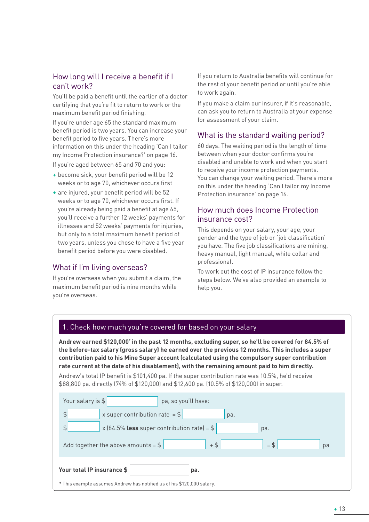## How long will I receive a benefit if I can't work?

You'll be paid a benefit until the earlier of a doctor certifying that you're fit to return to work or the maximum benefit period finishing.

If you're under age 65 the standard maximum benefit period is two years. You can increase your benefit period to five years. There's more information on this under the heading 'Can I tailor my Income Protection insurance?' on page 16.

If you're aged between 65 and 70 and you:

- **+** become sick, your benefit period will be 12 weeks or to age 70, whichever occurs first
- **+** are injured, your benefit period will be 52 weeks or to age 70, whichever occurs first. If you're already being paid a benefit at age 65, you'll receive a further 12 weeks' payments for illnesses and 52 weeks' payments for injuries, but only to a total maximum benefit period of two years, unless you chose to have a five year benefit period before you were disabled.

## What if I'm living overseas?

If you're overseas when you submit a claim, the maximum benefit period is nine months while you're overseas.

If you return to Australia benefits will continue for the rest of your benefit period or until you're able to work again.

If you make a claim our insurer, if it's reasonable, can ask you to return to Australia at your expense for assessment of your claim.

## What is the standard waiting period?

60 days. The waiting period is the length of time between when your doctor confirms you're disabled and unable to work and when you start to receive your income protection payments. You can change your waiting period. There's more on this under the heading 'Can I tailor my Income Protection insurance' on page 16.

## How much does Income Protection insurance cost?

This depends on your salary, your age, your gender and the type of job or 'job classification' you have. The five job classifications are mining, heavy manual, light manual, white collar and professional.

To work out the cost of IP insurance follow the steps below. We've also provided an example to help you.

#### 1. Check how much you're covered for based on your salary

**Andrew earned \$120,000\* in the past 12 months, excluding super, so he'll be covered for 84.5% of the before-tax salary (gross salary) he earned over the previous 12 months. This includes a super contribution paid to his Mine Super account (calculated using the compulsory super contribution rate current at the date of his disablement), with the remaining amount paid to him directly.**

Andrew's total IP benefit is \$101,400 pa. If the super contribution rate was 10.5%, he'd receive \$88,800 pa. directly (74% of \$120,000) and \$12,600 pa. (10.5% of \$120,000) in super.

| Your salary is \$<br>pa, so you'll have:                               |  |  |  |  |  |  |
|------------------------------------------------------------------------|--|--|--|--|--|--|
| $\frac{4}{5}$<br>x super contribution rate = $$$<br>pa.                |  |  |  |  |  |  |
| x (84.5% less super contribution rate) = $$$<br>\$<br>pa.              |  |  |  |  |  |  |
| $+$ \$<br>$=$ \$<br>Add together the above amounts = $$$<br>pa         |  |  |  |  |  |  |
| Your total IP insurance \$<br>pa.                                      |  |  |  |  |  |  |
| * This example assumes Andrew has notified us of his \$120,000 salary. |  |  |  |  |  |  |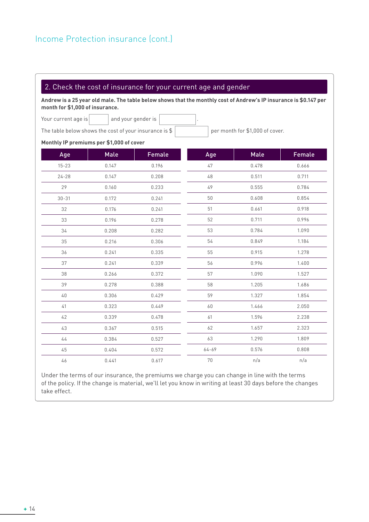## 2. Check the cost of insurance for your current age and gender

**Andrew is a 25 year old male. The table below shows that the monthly cost of Andrew's IP insurance is \$0.147 per month for \$1,000 of insurance.**

Your current age is  $\vert$  and your gender is

The table below shows the cost of your insurance is  $\frac{1}{2}$  per month for \$1,000 of cover.

#### **Monthly IP premiums per \$1,000 of cover**

| Age       | Male  | Female | Age    | Male  | Female |
|-----------|-------|--------|--------|-------|--------|
| $15 - 23$ | 0.147 | 0.196  | $47\,$ | 0.478 | 0.666  |
| $24 - 28$ | 0.147 | 0.208  | $4\,8$ | 0.511 | 0.711  |
| 29        | 0.160 | 0.233  | 49     | 0.555 | 0.784  |
| $30 - 31$ | 0.172 | 0.241  | 50     | 0.608 | 0.854  |
| 32        | 0.176 | 0.241  | 51     | 0.661 | 0.918  |
| 33        | 0.196 | 0.278  | 52     | 0.711 | 0.996  |
| 34        | 0.208 | 0.282  | 53     | 0.784 | 1.090  |
| 35        | 0.216 | 0.306  | 54     | 0.849 | 1.184  |
| 36        | 0.241 | 0.335  | 55     | 0.915 | 1.278  |
| 37        | 0.241 | 0.339  | 56     | 0.996 | 1.400  |
| 38        | 0.266 | 0.372  | 57     | 1.090 | 1.527  |
| 39        | 0.278 | 0.388  | 58     | 1.205 | 1.686  |
| $40\,$    | 0.306 | 0.429  | 59     | 1.327 | 1.854  |
| 41        | 0.323 | 0.449  | 60     | 1.466 | 2.050  |
| 42        | 0.339 | 0.478  | 61     | 1.596 | 2.238  |
| 43        | 0.367 | 0.515  | 62     | 1.657 | 2.323  |
| 44        | 0.384 | 0.527  | 63     | 1.290 | 1.809  |
| 45        | 0.404 | 0.572  | 64-69  | 0.576 | 0.808  |
| 46        | 0.441 | 0.617  | $70\,$ | n/a   | n/a    |

Under the terms of our insurance, the premiums we charge you can change in line with the terms of the policy. If the change is material, we'll let you know in writing at least 30 days before the changes take effect.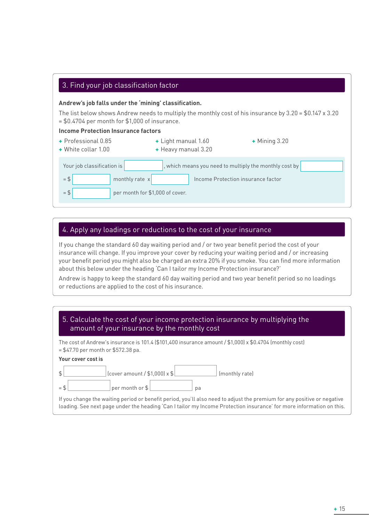#### 3. Find your job classification factor

#### **Andrew's job falls under the 'mining' classification.**

The list below shows Andrew needs to multiply the monthly cost of his insurance by  $3.20 = $0.147 \times 3.20$ = \$0.4704 per month for \$1,000 of insurance.

#### **Income Protection Insurance factors**

| + Professional 0.85<br>+ White collar 1.00 | + Light manual 1.60<br>+ Heavy manual 3.20             | $+$ Mining 3.20 |
|--------------------------------------------|--------------------------------------------------------|-----------------|
| Your job classification is                 | , which means you need to multiply the monthly cost by |                 |
| $=$ \$<br>monthly rate x                   | Income Protection insurance factor                     |                 |
| $=$ \$<br>per month for \$1,000 of cover.  |                                                        |                 |

## 4. Apply any loadings or reductions to the cost of your insurance

If you change the standard 60 day waiting period and / or two year benefit period the cost of your insurance will change. If you improve your cover by reducing your waiting period and / or increasing your benefit period you might also be charged an extra 20% if you smoke. You can find more information about this below under the heading 'Can I tailor my Income Protection insurance?'

Andrew is happy to keep the standard 60 day waiting period and two year benefit period so no loadings or reductions are applied to the cost of his insurance.

| 5. Calculate the cost of your income protection insurance by multiplying the |
|------------------------------------------------------------------------------|
| amount of your insurance by the monthly cost                                 |

The cost of Andrew's insurance is 101.4 (\$101,400 insurance amount / \$1,000) x \$0.4704 (monthly cost) = \$47.70 per month or \$572.38 pa.

#### **Your cover cost is**

|     | $[cover$ amount / \$1,000) x \$ |    | (monthly rate) |
|-----|---------------------------------|----|----------------|
| $=$ | per month or \$                 | рa |                |

If you change the waiting period or benefit period, you'll also need to adjust the premium for any positive or negative loading. See next page under the heading 'Can I tailor my Income Protection insurance' for more information on this.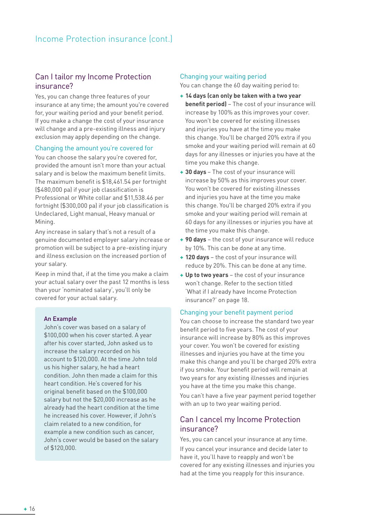## Can I tailor my Income Protection insurance?

Yes, you can change three features of your insurance at any time; the amount you're covered for, your waiting period and your benefit period. If you make a change the cost of your insurance will change and a pre-existing illness and injury exclusion may apply depending on the change.

#### Changing the amount you're covered for

You can choose the salary you're covered for, provided the amount isn't more than your actual salary and is below the maximum benefit limits. The maximum benefit is \$18,461.54 per fortnight (\$480,000 pa) if your job classification is Professional or White collar and \$11,538.46 per fortnight (\$300,000 pa) if your job classification is Undeclared, Light manual, Heavy manual or Mining.

Any increase in salary that's not a result of a genuine documented employer salary increase or promotion will be subject to a pre-existing injury and illness exclusion on the increased portion of your salary.

Keep in mind that, if at the time you make a claim your actual salary over the past 12 months is less than your 'nominated salary', you'll only be covered for your actual salary.

#### An Example

John's cover was based on a salary of \$100,000 when his cover started. A year after his cover started, John asked us to increase the salary recorded on his account to \$120,000. At the time John told us his higher salary, he had a heart condition. John then made a claim for this heart condition. He's covered for his original benefit based on the \$100,000 salary but not the \$20,000 increase as he already had the heart condition at the time he increased his cover. However, if John's claim related to a new condition, for example a new condition such as cancer, John's cover would be based on the salary of \$120,000.

#### Changing your waiting period

You can change the 60 day waiting period to:

- **+ 14 days (can only be taken with a two year benefit period)** – The cost of your insurance will increase by 100% as this improves your cover. You won't be covered for existing illnesses and injuries you have at the time you make this change. You'll be charged 20% extra if you smoke and your waiting period will remain at 60 days for any illnesses or injuries you have at the time you make this change.
- **+ 30 days**  The cost of your insurance will increase by 50% as this improves your cover. You won't be covered for existing illnesses and injuries you have at the time you make this change. You'll be charged 20% extra if you smoke and your waiting period will remain at 60 days for any illnesses or injuries you have at the time you make this change.
- **+ 90 days** the cost of your insurance will reduce by 10%. This can be done at any time.
- **+ 120 days**  the cost of your insurance will reduce by 20%. This can be done at any time.
- **+ Up to two years**  the cost of your insurance won't change. Refer to the section titled 'What if I already have Income Protection insurance?' on page 18.

#### Changing your benefit payment period

You can choose to increase the standard two year benefit period to five years. The cost of your insurance will increase by 80% as this improves your cover. You won't be covered for existing illnesses and injuries you have at the time you make this change and you'll be charged 20% extra if you smoke. Your benefit period will remain at two years for any existing illnesses and injuries you have at the time you make this change.

You can't have a five year payment period together with an up to two year waiting period.

## Can I cancel my Income Protection insurance?

Yes, you can cancel your insurance at any time.

If you cancel your insurance and decide later to have it, you'll have to reapply and won't be covered for any existing illnesses and injuries you had at the time you reapply for this insurance.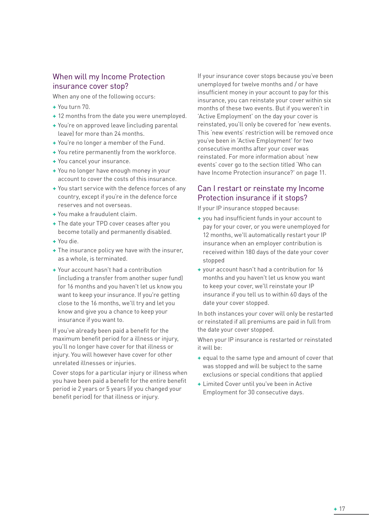## When will my Income Protection insurance cover stop?

When any one of the following occurs:

- **+** You turn 70.
- **+** 12 months from the date you were unemployed.
- **+** You're on approved leave (including parental leave) for more than 24 months.
- **+** You're no longer a member of the Fund.
- **+** You retire permanently from the workforce.
- **+** You cancel your insurance.
- **+** You no longer have enough money in your account to cover the costs of this insurance.
- **+** You start service with the defence forces of any country, except if you're in the defence force reserves and not overseas.
- **+** You make a fraudulent claim.
- **+** The date your TPD cover ceases after you become totally and permanently disabled.
- **+** You die.
- **+** The insurance policy we have with the insurer, as a whole, is terminated.
- **+** Your account hasn't had a contribution (including a transfer from another super fund) for 16 months and you haven't let us know you want to keep your insurance. If you're getting close to the 16 months, we'll try and let you know and give you a chance to keep your insurance if you want to.

If you've already been paid a benefit for the maximum benefit period for a illness or injury, you'll no longer have cover for that illness or injury. You will however have cover for other unrelated illnesses or injuries.

Cover stops for a particular injury or illness when you have been paid a benefit for the entire benefit period ie 2 years or 5 years (if you changed your benefit period) for that illness or injury.

If your insurance cover stops because you've been unemployed for twelve months and / or have insufficient money in your account to pay for this insurance, you can reinstate your cover within six months of these two events. But if you weren't in 'Active Employment' on the day your cover is reinstated, you'll only be covered for 'new events. This 'new events' restriction will be removed once you've been in 'Active Employment' for two consecutive months after your cover was reinstated. For more information about 'new events' cover go to the section titled 'Who can have Income Protection insurance?' on page 11.

## Can I restart or reinstate my Income Protection insurance if it stops?

If your IP insurance stopped because:

- **+** you had insufficient funds in your account to pay for your cover, or you were unemployed for 12 months, we'll automatically restart your IP insurance when an employer contribution is received within 180 days of the date your cover stopped
- **+** your account hasn't had a contribution for 16 months and you haven't let us know you want to keep your cover, we'll reinstate your IP insurance if you tell us to within 60 days of the date your cover stopped.

In both instances your cover will only be restarted or reinstated if all premiums are paid in full from the date your cover stopped.

When your IP insurance is restarted or reinstated it will be:

- **+** equal to the same type and amount of cover that was stopped and will be subject to the same exclusions or special conditions that applied
- **+** Limited Cover until you've been in Active Employment for 30 consecutive days.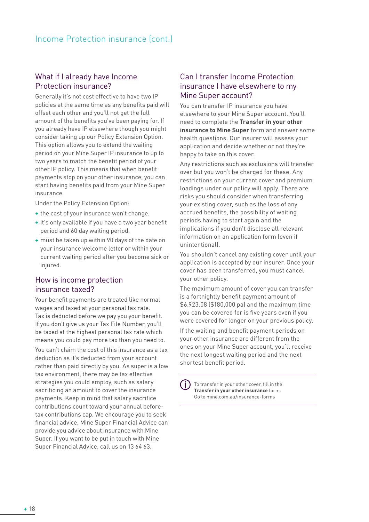## What if I already have Income Protection insurance?

Generally it's not cost effective to have two IP policies at the same time as any benefits paid will offset each other and you'll not get the full amount of the benefits you've been paying for. If you already have IP elsewhere though you might consider taking up our Policy Extension Option. This option allows you to extend the waiting period on your Mine Super IP insurance to up to two years to match the benefit period of your other IP policy. This means that when benefit payments stop on your other insurance, you can start having benefits paid from your Mine Super insurance.

Under the Policy Extension Option:

- **+** the cost of your insurance won't change.
- **+** it's only available if you have a two year benefit period and 60 day waiting period.
- **+** must be taken up within 90 days of the date on your insurance welcome letter or within your current waiting period after you become sick or injured.

## How is income protection insurance taxed?

Your benefit payments are treated like normal wages and taxed at your personal tax rate. Tax is deducted before we pay you your benefit. If you don't give us your Tax File Number, you'll be taxed at the highest personal tax rate which means you could pay more tax than you need to.

You can't claim the cost of this insurance as a tax deduction as it's deducted from your account rather than paid directly by you. As super is a low tax environment, there may be tax effective strategies you could employ, such as salary sacrificing an amount to cover the insurance payments. Keep in mind that salary sacrifice contributions count toward your annual beforetax contributions cap. We encourage you to seek financial advice. Mine Super Financial Advice can provide you advice about insurance with Mine Super. If you want to be put in touch with Mine Super Financial Advice, call us on 13 64 63.

## Can I transfer Income Protection insurance I have elsewhere to my Mine Super account?

You can transfer IP insurance you have elsewhere to your Mine Super account. You'll need to complete the **Transfer in your other insurance to Mine Super** form and answer some health questions. Our insurer will assess your application and decide whether or not they're happy to take on this cover.

Any restrictions such as exclusions will transfer over but you won't be charged for these. Any restrictions on your current cover and premium loadings under our policy will apply. There are risks you should consider when transferring your existing cover, such as the loss of any accrued benefits, the possibility of waiting periods having to start again and the implications if you don't disclose all relevant information on an application form (even if unintentional).

You shouldn't cancel any existing cover until your application is accepted by our insurer. Once your cover has been transferred, you must cancel your other policy.

The maximum amount of cover you can transfer is a fortnightly benefit payment amount of \$6,923.08 (\$180,000 pa) and the maximum time you can be covered for is five years even if you were covered for longer on your previous policy.

If the waiting and benefit payment periods on your other insurance are different from the ones on your Mine Super account, you'll receive the next longest waiting period and the next shortest benefit period.

Œ To transfer in your other cover, fill in the **Transfer in your other insurance** form. Go to mine.com.au/insurance-forms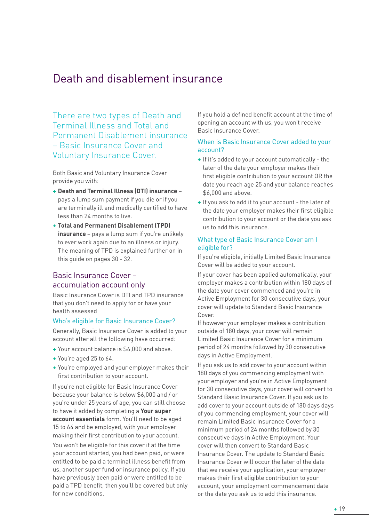## Death and disablement insurance

There are two types of Death and Terminal Illness and Total and Permanent Disablement insurance – Basic Insurance Cover and Voluntary Insurance Cover.

Both Basic and Voluntary Insurance Cover provide you with:

- **+ Death and Terminal Illness (DTI) insurance** pays a lump sum payment if you die or if you are terminally ill and medically certified to have less than 24 months to live.
- **+ Total and Permanent Disablement (TPD) insurance** – pays a lump sum if you're unlikely to ever work again due to an illness or injury. The meaning of TPD is explained further on in this guide on pages 30 - 32.

## Basic Insurance Cover – accumulation account only

Basic Insurance Cover is DTI and TPD insurance that you don't need to apply for or have your health assessed

#### Who's eligible for Basic Insurance Cover?

Generally, Basic Insurance Cover is added to your account after all the following have occurred:

- **+** Your account balance is \$6,000 and above.
- **+** You're aged 25 to 64.
- **+** You're employed and your employer makes their first contribution to your account.

If you're not eligible for Basic Insurance Cover because your balance is below \$6,000 and / or you're under 25 years of age, you can still choose to have it added by completing a **Your super account essentials** form. You'll need to be aged 15 to 64 and be employed, with your employer making their first contribution to your account.

You won't be eligible for this cover if at the time your account started, you had been paid, or were entitled to be paid a terminal illness benefit from us, another super fund or insurance policy. If you have previously been paid or were entitled to be paid a TPD benefit, then you'll be covered but only for new conditions.

If you hold a defined benefit account at the time of opening an account with us, you won't receive Basic Insurance Cover.

#### When is Basic Insurance Cover added to your account?

- **+** If it's added to your account automatically the later of the date your employer makes their first eligible contribution to your account OR the date you reach age 25 and your balance reaches \$6,000 and above.
- **+** If you ask to add it to your account the later of the date your employer makes their first eligible contribution to your account or the date you ask us to add this insurance.

#### What type of Basic Insurance Cover am I eligible for?

If you're eligible, initially Limited Basic Insurance Cover will be added to your account.

If your cover has been applied automatically, your employer makes a contribution within 180 days of the date your cover commenced and you're in Active Employment for 30 consecutive days, your cover will update to Standard Basic Insurance Cover.

If however your employer makes a contribution outside of 180 days, your cover will remain Limited Basic Insurance Cover for a minimum period of 24 months followed by 30 consecutive days in Active Employment.

If you ask us to add cover to your account within 180 days of you commencing employment with your employer and you're in Active Employment for 30 consecutive days, your cover will convert to Standard Basic Insurance Cover. If you ask us to add cover to your account outside of 180 days days of you commencing employment, your cover will remain Limited Basic Insurance Cover for a minimum period of 24 months followed by 30 consecutive days in Active Employment. Your cover will then convert to Standard Basic Insurance Cover. The update to Standard Basic Insurance Cover will occur the later of the date that we receive your application, your employer makes their first eligible contribution to your account, your employment commencement date or the date you ask us to add this insurance.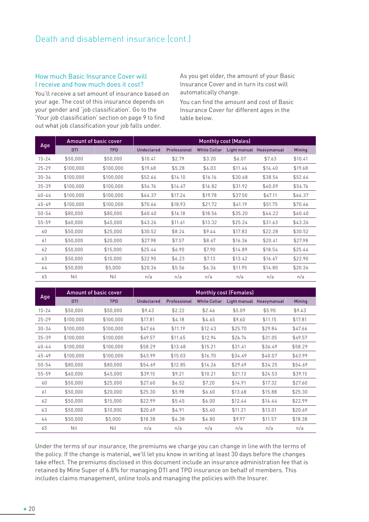#### How much Basic Insurance Cover will I receive and how much does it cost?

You'll receive a set amount of insurance based on your age. The cost of this insurance depends on your gender and 'job classification'. Go to the 'Your job classification' section on page 9 to find out what job classification your job falls under.

As you get older, the amount of your Basic Insurance Cover and in turn its cost will automatically change.

You can find the amount and cost of Basic Insurance Cover for different ages in the table below.

|           |            | <b>Amount of basic cover</b> |            |              |                     | <b>Monthly cost (Males)</b> |                          |               |
|-----------|------------|------------------------------|------------|--------------|---------------------|-----------------------------|--------------------------|---------------|
| Age       | <b>DTI</b> | <b>TPD</b>                   | Undeclared | Professional | <b>White Collar</b> |                             | Light manual Heavymanual | <b>Mining</b> |
| $15 - 24$ | \$50,000   | \$50,000                     | \$10.41    | \$2.79       | \$3.20              | \$6.07                      | \$7.63                   | \$10.41       |
| $25 - 29$ | \$100,000  | \$100,000                    | \$19.68    | \$5.28       | \$6.03              | \$11.46                     | \$14.40                  | \$19.68       |
| $30 - 34$ | \$100,000  | \$100,000                    | \$52.64    | \$14.10      | \$16.16             | \$30.68                     | \$38.54                  | \$52.64       |
| $35 - 39$ | \$100,000  | \$100.000                    | \$54.76    | \$14.67      | \$16.82             | \$31.92                     | \$40.09                  | \$54.76       |
| $40 - 44$ | \$100,000  | \$100,000                    | \$64.37    | \$17.24      | \$19.78             | \$37.50                     | \$47.11                  | \$64.37       |
| $45 - 49$ | \$100,000  | \$100,000                    | \$70.66    | \$18.93      | \$21.72             | \$41.19                     | \$51.75                  | \$70.66       |
| $50 - 54$ | \$80,000   | \$80,000                     | \$60.40    | \$16.18      | \$18.56             | \$35.20                     | \$44.22                  | \$60.40       |
| $55 - 59$ | \$60,000   | \$45,000                     | \$43.26    | \$11.61      | \$13.32             | \$25.24                     | \$31.63                  | \$43.26       |
| 60        | \$50,000   | \$25,000                     | \$30.52    | \$8.24       | \$9.44              | \$17.83                     | \$22.28                  | \$30.52       |
| 61        | \$50,000   | \$20,000                     | \$27.98    | \$7.57       | \$8.67              | \$16.36                     | \$20.41                  | \$27.98       |
| 62        | \$50,000   | \$15,000                     | \$25.44    | \$6.90       | \$7.90              | \$14.89                     | \$18.54                  | \$25.44       |
| 63        | \$50,000   | \$10,000                     | \$22.90    | \$6.23       | \$7.13              | \$13.42                     | \$16.67                  | \$22.90       |
| 64        | \$50,000   | \$5,000                      | \$20.36    | \$5.56       | \$6.36              | \$11.95                     | \$14.80                  | \$20.36       |
| 65        | Nil        | Nil                          | n/a        | n/a          | n/a                 | n/a                         | n/a                      | n/a           |

|           |            | Amount of basic cover |                   |              |                     | <b>Monthly cost (Females)</b> |                          |               |
|-----------|------------|-----------------------|-------------------|--------------|---------------------|-------------------------------|--------------------------|---------------|
| Age       | <b>DTI</b> | <b>TPD</b>            | <b>Undeclared</b> | Professional | <b>White Collar</b> |                               | Light manual Heavymanual | <b>Mining</b> |
| $15 - 24$ | \$50,000   | \$50,000              | \$9.43            | \$2.22       | \$2.46              | \$5.09                        | \$5.90                   | \$9.43        |
| $25 - 29$ | \$100,000  | \$100,000             | \$17.81           | \$4.18       | \$4.65              | \$9.60                        | \$11.15                  | \$17.81       |
| $30 - 34$ | \$100,000  | \$100,000             | \$47.66           | \$11.19      | \$12.43             | \$25.70                       | \$29.84                  | \$47.66       |
| $35 - 39$ | \$100,000  | \$100,000             | \$49.57           | \$11.65      | \$12.94             | \$26.74                       | \$31.05                  | \$49.57       |
| $40 - 44$ | \$100,000  | \$100,000             | \$58.29           | \$13.68      | \$15.21             | \$31.41                       | \$36.49                  | \$58.29       |
| $45 - 49$ | \$100,000  | \$100,000             | \$63.99           | \$15.03      | \$16.70             | \$34.49                       | \$40.07                  | \$63.99       |
| $50 - 54$ | \$80,000   | \$80,000              | \$54.69           | \$12.85      | \$14.26             | \$29.49                       | \$34.25                  | \$54.69       |
| $55 - 59$ | \$60,000   | \$45,000              | \$39.15           | \$9.21       | \$10.21             | \$21.13                       | \$24.53                  | \$39.15       |
| 60        | \$50,000   | \$25,000              | \$27.60           | \$6.52       | \$7.20              | \$14.91                       | \$17.32                  | \$27.60       |
| 61        | \$50,000   | \$20,000              | \$25.30           | \$5.98       | \$6.60              | \$13.68                       | \$15.88                  | \$25.30       |
| 62        | \$50,000   | \$15,000              | \$22.99           | \$5.45       | \$6.00              | \$12.44                       | \$14.44                  | \$22.99       |
| 63        | \$50,000   | \$10,000              | \$20.69           | \$4.91       | \$5.40              | \$11.21                       | \$13.01                  | \$20.69       |
| 64        | \$50,000   | \$5,000               | \$18.38           | \$4.38       | \$4.80              | \$9.97                        | \$11.57                  | \$18.38       |
| 65        | Nil        | Nil                   | n/a               | n/a          | n/a                 | n/a                           | n/a                      | n/a           |

Under the terms of our insurance, the premiums we charge you can change in line with the terms of the policy. If the change is material, we'll let you know in writing at least 30 days before the changes take effect. The premiums disclosed in this document include an insurance administration fee that is retained by Mine Super of 6.8% for managing DTI and TPD insurance on behalf of members. This includes claims management, online tools and managing the policies with the Insurer.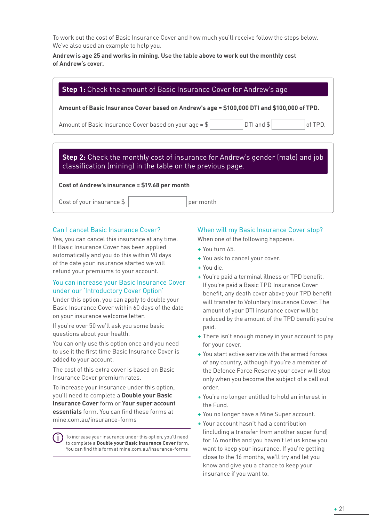To work out the cost of Basic Insurance Cover and how much you'll receive follow the steps below. We've also used an example to help you.

#### **Andrew is age 25 and works in mining. Use the table above to work out the monthly cost of Andrew's cover.**

| Amount of Basic Insurance Cover based on Andrew's age = \$100,000 DTI and \$100,000 of TPD. |                |  |         |  |  |  |  |
|---------------------------------------------------------------------------------------------|----------------|--|---------|--|--|--|--|
| Amount of Basic Insurance Cover based on your age = $\frac{1}{2}$                           | $DTI$ and $$ $ |  | of TPD. |  |  |  |  |
|                                                                                             |                |  |         |  |  |  |  |
|                                                                                             |                |  |         |  |  |  |  |
|                                                                                             |                |  |         |  |  |  |  |
| <b>Step 2:</b> Check the monthly cost of insurance for Andrew's gender (male) and job       |                |  |         |  |  |  |  |
| classification (mining) in the table on the previous page.                                  |                |  |         |  |  |  |  |

## Can I cancel Basic Insurance Cover?

Yes, you can cancel this insurance at any time. If Basic Insurance Cover has been applied automatically and you do this within 90 days of the date your insurance started we will refund your premiums to your account.

#### You can increase your Basic Insurance Cover under our 'Introductory Cover Option'

Under this option, you can apply to double your Basic Insurance Cover within 60 days of the date on your insurance welcome letter.

If you're over 50 we'll ask you some basic questions about your health.

You can only use this option once and you need to use it the first time Basic Insurance Cover is added to your account.

The cost of this extra cover is based on Basic Insurance Cover premium rates.

To increase your insurance under this option, you'll need to complete a **Double your Basic Insurance Cover** form or **Your super account essentials** form. You can find these forms at mine.com.au/insurance-forms

To increase your insurance under this option, you'll need to complete a **Double your Basic Insurance Cover** form. You can find this form at mine.com.au/insurance-forms

## When will my Basic Insurance Cover stop?

When one of the following happens:

- **+** You turn 65.
- **+** You ask to cancel your cover.
- **+** You die.
- **+** You're paid a terminal illness or TPD benefit. If you're paid a Basic TPD Insurance Cover benefit, any death cover above your TPD benefit will transfer to Voluntary Insurance Cover. The amount of your DTI insurance cover will be reduced by the amount of the TPD benefit you're paid.
- **+** There isn't enough money in your account to pay for your cover.
- **+** You start active service with the armed forces of any country, although if you're a member of the Defence Force Reserve your cover will stop only when you become the subject of a call out order.
- **+** You're no longer entitled to hold an interest in the Fund.
- **+** You no longer have a Mine Super account.
- **+** Your account hasn't had a contribution (including a transfer from another super fund) for 16 months and you haven't let us know you want to keep your insurance. If you're getting close to the 16 months, we'll try and let you know and give you a chance to keep your insurance if you want to.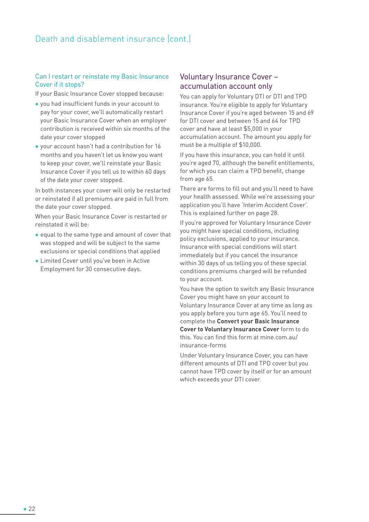#### Can I restart or reinstate my Basic Insurance Cover if it stops?

If your Basic Insurance Cover stopped because:

- **+** you had insufficient funds in your account to pay for your cover, we'll automatically restart your Basic Insurance Cover when an employer contribution is received within six months of the date your cover stopped
- **+** your account hasn't had a contribution for 16 months and you haven't let us know you want to keep your cover, we'll reinstate your Basic Insurance Cover if you tell us to within 60 days of the date your cover stopped.

In both instances your cover will only be restarted or reinstated if all premiums are paid in full from the date your cover stopped.

When your Basic Insurance Cover is restarted or reinstated it will be:

- **+** equal to the same type and amount of cover that was stopped and will be subject to the same exclusions or special conditions that applied
- **+** Limited Cover until you've been in Active Employment for 30 consecutive days.

## Voluntary Insurance Cover – accumulation account only

You can apply for Voluntary DTI or DTI and TPD insurance. You're eligible to apply for Voluntary Insurance Cover if you're aged between 15 and 69 for DTI cover and between 15 and 64 for TPD cover and have at least \$5,000 in your accumulation account. The amount you apply for must be a multiple of \$10,000.

If you have this insurance, you can hold it until you're aged 70, although the benefit entitlements, for which you can claim a TPD benefit, change from age 65.

There are forms to fill out and you'll need to have your health assessed. While we're assessing your application you'll have 'Interim Accident Cover'. This is explained further on page 28.

If you're approved for Voluntary Insurance Cover you might have special conditions, including policy exclusions, applied to your insurance. Insurance with special conditions will start immediately but if you cancel the insurance within 30 days of us telling you of these special conditions premiums charged will be refunded to your account.

You have the option to switch any Basic Insurance Cover you might have on your account to Voluntary Insurance Cover at any time as long as you apply before you turn age 65. You'll need to complete the **Convert your Basic Insurance Cover to Voluntary Insurance Cover** form to do this. You can find this form at mine.com.au/ insurance-forms

Under Voluntary Insurance Cover, you can have different amounts of DTI and TPD cover but you cannot have TPD cover by itself or for an amount which exceeds your DTI cover.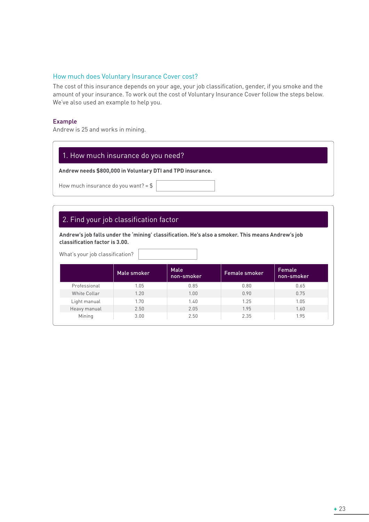#### How much does Voluntary Insurance Cover cost?

The cost of this insurance depends on your age, your job classification, gender, if you smoke and the amount of your insurance. To work out the cost of Voluntary Insurance Cover follow the steps below. We've also used an example to help you.

#### Example

Andrew is 25 and works in mining.

## 1. How much insurance do you need?

**Andrew needs \$800,000 in Voluntary DTI and TPD insurance.**

How much insurance do you want? =  $$$ 

## 2. Find your job classification factor

**Andrew's job falls under the 'mining' classification. He's also a smoker. This means Andrew's job classification factor is 3.00.**

What's your job classification?

|              | Male smoker | Male<br>non-smoker | <b>Female smoker</b> | Female<br>non-smoker |
|--------------|-------------|--------------------|----------------------|----------------------|
| Professional | 1.05        | 0.85               | 0.80                 | 0.65                 |
| White Collar | 1.20        | 1.00               | 0.90                 | 0.75                 |
| Light manual | 1.70        | 1.40               | 1.25                 | 1.05                 |
| Heavy manual | 2.50        | 2.05               | 1.95                 | 1.60                 |
| Mining       | 3.00        | 2.50               | 2.35                 | 1.95                 |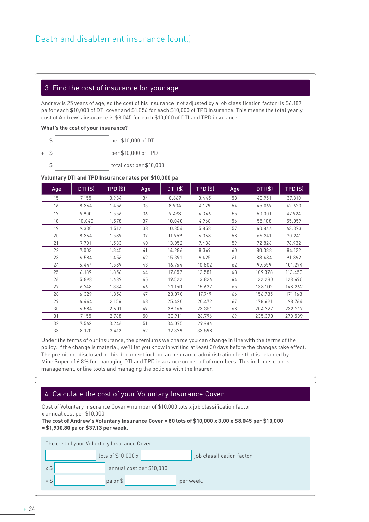#### 3. Find the cost of insurance for your age

Andrew is 25 years of age, so the cost of his insurance (not adjusted by a job classification factor) is \$6.189 pa for each \$10,000 of DTI cover and \$1.856 for each \$10,000 of TPD insurance. This means the total yearly cost of Andrew's insurance is \$8.045 for each \$10,000 of DTI and TPD insurance.

#### **What's the cost of your insurance?**

|  | per \$10,000 of DTI |
|--|---------------------|
|  | per \$10,000 of TPD |

 $=$   $\frac{1}{2}$   $\frac{1}{2}$  total cost per \$10,000

#### **Voluntary DTI and TPD Insurance rates per \$10,000 pa**

| Age | DTI (\$) | TPD (\$) | Age | DTI (\$) | <b>TPD (\$)</b> | Age | DTI (\$) | TPD (\$) |
|-----|----------|----------|-----|----------|-----------------|-----|----------|----------|
| 15  | 7.155    | 0.934    | 34  | 8.667    | 3.445           | 53  | 40.951   | 37.810   |
| 16  | 8.364    | 1.456    | 35  | 8.934    | 4.179           | 54  | 45.069   | 42.623   |
| 17  | 9.900    | 1.556    | 36  | 9.493    | 4.346           | 55  | 50.001   | 47.924   |
| 18  | 10.040   | 1.578    | 37  | 10.040   | 4.968           | 56  | 55.108   | 55.059   |
| 19  | 9.330    | 1.512    | 38  | 10.854   | 5.858           | 57  | 60.866   | 63.373   |
| 20  | 8.364    | 1.589    | 39  | 11.959   | 6.368           | 58  | 66.241   | 70.241   |
| 21  | 7.701    | 1.533    | 40  | 13.052   | 7.436           | 59  | 72.826   | 76.932   |
| 22  | 7.003    | 1.345    | 41  | 14.286   | 8.369           | 60  | 80.388   | 84.122   |
| 23  | 6.584    | 1.456    | 42  | 15.391   | 9.425           | 61  | 88.484   | 91.892   |
| 24  | 6.444    | 1.589    | 43  | 16.764   | 10.802          | 62  | 97.559   | 101.294  |
| 25  | 6.189    | 1.856    | 44  | 17.857   | 12.581          | 63  | 109.378  | 113.453  |
| 26  | 5.898    | 1.689    | 45  | 19.522   | 13.826          | 64  | 122.280  | 128.490  |
| 27  | 6.748    | 1.334    | 46  | 21.150   | 15.637          | 65  | 138.102  | 148.262  |
| 28  | 6.329    | 1.856    | 47  | 23.070   | 17.749          | 66  | 156.785  | 171.168  |
| 29  | 6.444    | 2.156    | 48  | 25.420   | 20.472          | 67  | 178.621  | 198.764  |
| 30  | 6.584    | 2.601    | 49  | 28.165   | 23.351          | 68  | 204.727  | 232.217  |
| 31  | 7.155    | 2.768    | 50  | 30.911   | 26.796          | 69  | 235.370  | 270.539  |
| 32  | 7.562    | 3.246    | 51  | 34.075   | 29.986          |     |          |          |
| 33  | 8.120    | 3.412    | 52  | 37.379   | 33.598          |     |          |          |

Under the terms of our insurance, the premiums we charge you can change in line with the terms of the policy. If the change is material, we'll let you know in writing at least 30 days before the changes take effect. The premiums disclosed in this document include an insurance administration fee that is retained by Mine Super of 6.8% for managing DTI and TPD insurance on behalf of members. This includes claims management, online tools and managing the policies with the Insurer.

## 4. Calculate the cost of your Voluntary Insurance Cover

Cost of Voluntary Insurance Cover = number of \$10,000 lots x job classification factor x annual cost per \$10,000.

#### **The cost of Andrew's Voluntary Insurance Cover = 80 lots of \$10,000 x 3.00 x \$8.045 per \$10,000 = \$1,930.80 pa or \$37.13 per week.**

| The cost of your Voluntary Insurance Cover |  |                          |  |  |                           |  |  |
|--------------------------------------------|--|--------------------------|--|--|---------------------------|--|--|
|                                            |  | lots of $$10,000 x$      |  |  | job classification factor |  |  |
| $x$ \$                                     |  | annual cost per \$10,000 |  |  |                           |  |  |
| $=$ \$                                     |  | $pa$ or $$$              |  |  | per week.                 |  |  |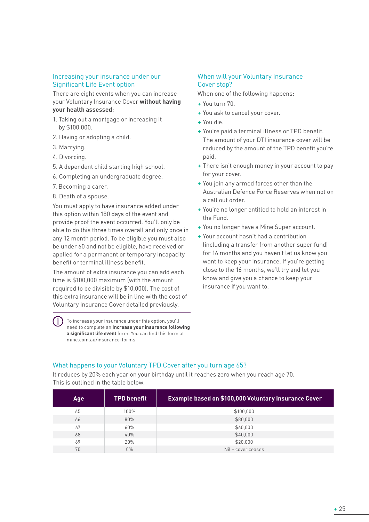#### Increasing your insurance under our Significant Life Event option

There are eight events when you can increase your Voluntary Insurance Cover **without having your health assessed**:

- 1. Taking out a mortgage or increasing it by \$100,000.
- 2. Having or adopting a child.
- 3. Marrying.
- 4. Divorcing.
- 5. A dependent child starting high school.
- 6. Completing an undergraduate degree.
- 7. Becoming a carer.
- 8. Death of a spouse.

You must apply to have insurance added under this option within 180 days of the event and provide proof the event occurred. You'll only be able to do this three times overall and only once in any 12 month period. To be eligible you must also be under 60 and not be eligible, have received or applied for a permanent or temporary incapacity benefit or terminal illness benefit.

The amount of extra insurance you can add each time is \$100,000 maximum (with the amount required to be divisible by \$10,000). The cost of this extra insurance will be in line with the cost of Voluntary Insurance Cover detailed previously.

To increase your insurance under this option, you'll need to complete an **Increase your insurance following a significant life event** form. You can find this form at mine.com.au/insurance-forms

#### When will your Voluntary Insurance Cover stop?

When one of the following happens:

- **+** You turn 70.
- **+** You ask to cancel your cover.
- **+** You die.
- **+** You're paid a terminal illness or TPD benefit. The amount of your DTI insurance cover will be reduced by the amount of the TPD benefit you're paid.
- **+** There isn't enough money in your account to pay for your cover.
- **+** You join any armed forces other than the Australian Defence Force Reserves when not on a call out order.
- **+** You're no longer entitled to hold an interest in the Fund.
- **+** You no longer have a Mine Super account.
- **+** Your account hasn't had a contribution (including a transfer from another super fund) for 16 months and you haven't let us know you want to keep your insurance. If you're getting close to the 16 months, we'll try and let you know and give you a chance to keep your insurance if you want to.

#### What happens to your Voluntary TPD Cover after you turn age 65?

It reduces by 20% each year on your birthday until it reaches zero when you reach age 70. This is outlined in the table below.

| <b>Age</b> | <b>TPD benefit</b> | Example based on \$100,000 Voluntary Insurance Cover |
|------------|--------------------|------------------------------------------------------|
| 65         | 100%               | \$100,000                                            |
| 66         | 80%                | \$80,000                                             |
| 67         | 60%                | \$60,000                                             |
| 68         | 40%                | \$40,000                                             |
| 69         | 20%                | \$20,000                                             |
| 70         | $0\%$              | $Nil$ – cover ceases                                 |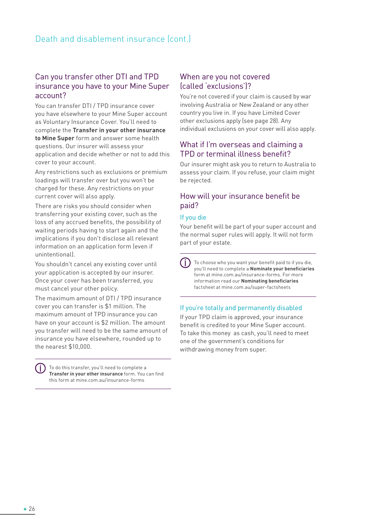## Can you transfer other DTI and TPD insurance you have to your Mine Super account?

You can transfer DTI / TPD insurance cover you have elsewhere to your Mine Super account as Voluntary Insurance Cover. You'll need to complete the **Transfer in your other insurance to Mine Super** form and answer some health questions. Our insurer will assess your application and decide whether or not to add this cover to your account.

Any restrictions such as exclusions or premium loadings will transfer over but you won't be charged for these. Any restrictions on your current cover will also apply.

There are risks you should consider when transferring your existing cover, such as the loss of any accrued benefits, the possibility of waiting periods having to start again and the implications if you don't disclose all relevant information on an application form (even if unintentional).

You shouldn't cancel any existing cover until your application is accepted by our insurer. Once your cover has been transferred, you must cancel your other policy.

The maximum amount of DTI / TPD insurance cover you can transfer is \$1 million. The maximum amount of TPD insurance you can have on your account is \$2 million. The amount you transfer will need to be the same amount of insurance you have elsewhere, rounded up to the nearest \$10,000.

To do this transfer, you'll need to complete a **Transfer in your other insurance** form. You can find this form at mine.com.au/insurance-forms

## When are you not covered (called 'exclusions')?

You're not covered if your claim is caused by war involving Australia or New Zealand or any other country you live in. If you have Limited Cover other exclusions apply (see page 28). Any individual exclusions on your cover will also apply.

## What if I'm overseas and claiming a TPD or terminal illness benefit?

Our insurer might ask you to return to Australia to assess your claim. If you refuse, your claim might be rejected.

## How will your insurance benefit be paid?

#### If you die

Your benefit will be part of your super account and the normal super rules will apply. It will not form part of your estate.

To choose who you want your benefit paid to if you die, you'll need to complete a **Nominate your beneficiaries** form at mine.com.au/insurance-forms. For more information read our **Nominating beneficiaries**  factsheet at mine.com.au/super-factsheets

## If you're totally and permanently disabled

If your TPD claim is approved, your insurance benefit is credited to your Mine Super account. To take this money as cash, you'll need to meet one of the government's conditions for withdrawing money from super.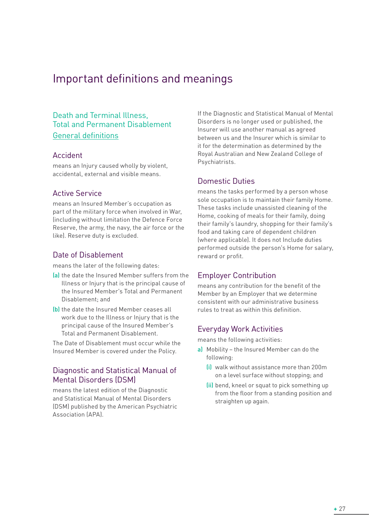## Important definitions and meanings

## Death and Terminal Illness, Total and Permanent Disablement General definitions

## Accident

means an Injury caused wholly by violent, accidental, external and visible means.

## Active Service

means an Insured Member's occupation as part of the military force when involved in War, (including without limitation the Defence Force Reserve, the army, the navy, the air force or the like). Reserve duty is excluded.

## Date of Disablement

means the later of the following dates:

- (a) the date the Insured Member suffers from the Illness or Injury that is the principal cause of the Insured Member's Total and Permanent Disablement; and
- (b) the date the Insured Member ceases all work due to the Illness or Injury that is the principal cause of the Insured Member's Total and Permanent Disablement.

The Date of Disablement must occur while the Insured Member is covered under the Policy.

## Diagnostic and Statistical Manual of Mental Disorders (DSM)

means the latest edition of the Diagnostic and Statistical Manual of Mental Disorders (DSM) published by the American Psychiatric Association (APA).

If the Diagnostic and Statistical Manual of Mental Disorders is no longer used or published, the Insurer will use another manual as agreed between us and the Insurer which is similar to it for the determination as determined by the Royal Australian and New Zealand College of Psychiatrists.

## Domestic Duties

means the tasks performed by a person whose sole occupation is to maintain their family Home. These tasks include unassisted cleaning of the Home, cooking of meals for their family, doing their family's laundry, shopping for their family's food and taking care of dependent children (where applicable). It does not Include duties performed outside the person's Home for salary, reward or profit.

#### Employer Contribution

means any contribution for the benefit of the Member by an Employer that we determine consistent with our administrative business rules to treat as within this definition.

#### Everyday Work Activities

means the following activities:

- a) Mobility the Insured Member can do the following:
	- (i) walk without assistance more than 200m on a level surface without stopping; and
	- (ii) bend, kneel or squat to pick something up from the floor from a standing position and straighten up again.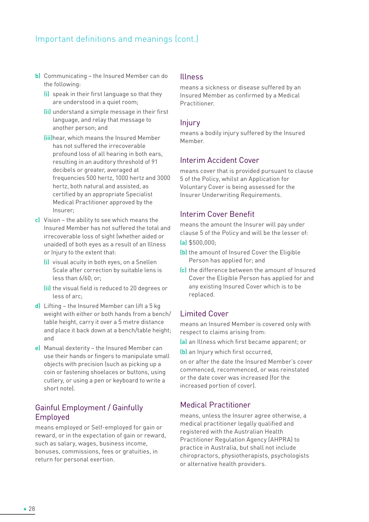## Important definitions and meanings (cont.)

- b) Communicating the Insured Member can do the following:
	- (i) speak in their first language so that they are understood in a quiet room;
	- (ii) understand a simple message in their first language, and relay that message to another person; and
	- (iii)hear, which means the Insured Member has not suffered the irrecoverable profound loss of all hearing in both ears, resulting in an auditory threshold of 91 decibels or greater, averaged at frequencies 500 hertz, 1000 hertz and 3000 hertz, both natural and assisted, as certified by an appropriate Specialist Medical Practitioner approved by the Insurer;
- c) Vision the ability to see which means the Insured Member has not suffered the total and irrecoverable loss of sight (whether aided or unaided) of both eyes as a result of an Illness or Injury to the extent that:
	- (i) visual acuity in both eyes, on a Snellen Scale after correction by suitable lens is less than 6/60; or;
	- (ii) the visual field is reduced to 20 degrees or less of arc;
- d) Lifting the Insured Member can lift a 5 kg weight with either or both hands from a bench/ table height, carry it over a 5 metre distance and place it back down at a bench/table height; and
- e) Manual dexterity the Insured Member can use their hands or fingers to manipulate small objects with precision (such as picking up a coin or fastening shoelaces or buttons, using cutlery, or using a pen or keyboard to write a short note).

## Gainful Employment / Gainfully Employed

means employed or Self-employed for gain or reward, or in the expectation of gain or reward, such as salary, wages, business income, bonuses, commissions, fees or gratuities, in return for personal exertion.

#### Illness

means a sickness or disease suffered by an Insured Member as confirmed by a Medical Practitioner.

#### Injury

means a bodily injury suffered by the Insured Member.

## Interim Accident Cover

means cover that is provided pursuant to clause 5 of the Policy, whilst an Application for Voluntary Cover is being assessed for the Insurer Underwriting Requirements.

## Interim Cover Benefit

means the amount the Insurer will pay under clause 5 of the Policy and will be the lesser of:

- (a) \$500,000;
- (b) the amount of Insured Cover the Eligible Person has applied for; and
- (c) the difference between the amount of Insured Cover the Eligible Person has applied for and any existing Insured Cover which is to be replaced.

## Limited Cover

means an Insured Member is covered only with respect to claims arising from:

(a) an Illness which first became apparent; or

(b) an Injury which first occurred,

on or after the date the Insured Member's cover commenced, recommenced, or was reinstated or the date cover was increased (for the increased portion of cover).

## Medical Practitioner

means, unless the Insurer agree otherwise, a medical practitioner legally qualified and registered with the Australian Health Practitioner Regulation Agency (AHPRA) to practice in Australia, but shall not include chiropractors, physiotherapists, psychologists or alternative health providers.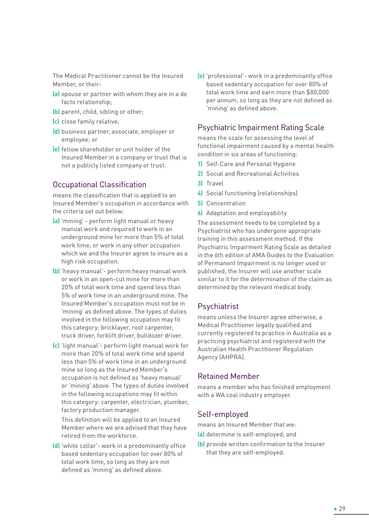The Medical Practitioner cannot be the Insured Member, or their:

- (a) spouse or partner with whom they are in a de facto relationship;
- (b) parent, child, sibling or other;
- (c) close family relative;
- (d) business partner, associate, employer or employee; or
- (e) fellow shareholder or unit holder of the Insured Member in a company or trust that is not a publicly listed company or trust.

## Occupational Classification

means the classification that is applied to an Insured Member's occupation in accordance with the criteria set out below:

- (a) 'mining' perform light manual or heavy manual work and required to work in an underground mine for more than 5% of total work time; or work in any other occupation which we and the Insurer agree to insure as a high risk occupation.
- (b) 'heavy manual'- perform heavy manual work or work in an open-cut mine for more than 20% of total work time and spend less than 5% of work time in an underground mine. The Insured Member's occupation must not be in 'mining' as defined above. The types of duties involved in the following occupation may fit this category: bricklayer, roof carpenter, truck driver, forklift driver, bulldozer driver.
- (c) 'light manual'- perform light manual work for more than 20% of total work time and spend less than 5% of work time in an underground mine so long as the Insured Member's occupation is not defined as 'heavy manual' or 'mining' above. The types of duties involved in the following occupations may fit within this category: carpenter, electrician, plumber, factory production manager.

This definition will be applied to an Insured Member where we are advised that they have retired from the workforce.

(d) 'white collar'- work in a predominantly office based sedentary occupation for over 80% of total work time, so long as they are not defined as 'mining' as defined above.

(e) 'professional'- work in a predominantly office based sedentary occupation for over 80% of total work time and earn more than \$80,000 per annum, so long as they are not defined as 'mining' as defined above.

## Psychiatric Impairment Rating Scale

means the scale for assessing the level of functional impairment caused by a mental health condition in six areas of functioning:

- 1) Self-Care and Personal Hygiene
- 2) Social and Recreational Activities
- 3) Travel
- 4) Social functioning (relationships)
- 5) Concentration
- 6) Adaptation and employability

The assessment needs to be completed by a Psychiatrist who has undergone appropriate training in this assessment method. If the Psychiatric Impairment Rating Scale as detailed in the 6th edition of AMA Guides to the Evaluation of Permanent Impairment is no longer used or published, the Insurer will use another scale similar to it for the determination of the claim as determined by the relevant medical body.

## Psychiatrist

means unless the Insurer agree otherwise, a Medical Practitioner legally qualified and currently registered to practice in Australia as a practicing psychiatrist and registered with the Australian Health Practitioner Regulation Agency (AHPRA).

## Retained Member

means a member who has finished employment with a WA coal industry employer.

## Self-employed

means an Insured Member that we:

- (a) determine is self-employed; and
- (b) provide written confirmation to the Insurer that they are self-employed.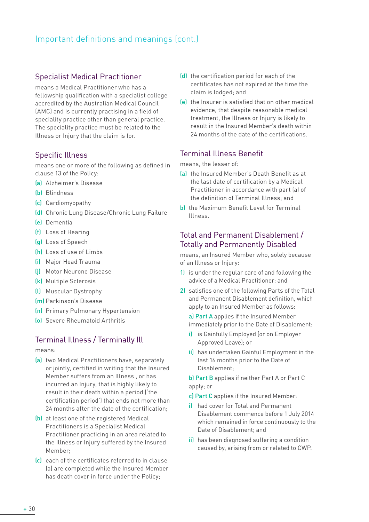## Important definitions and meanings (cont.)

## Specialist Medical Practitioner

means a Medical Practitioner who has a fellowship qualification with a specialist college accredited by the Australian Medical Council (AMC) and is currently practising in a field of speciality practice other than general practice. The speciality practice must be related to the Illness or Injury that the claim is for.

## Specific Illness

means one or more of the following as defined in clause 13 of the Policy:

- (a) Alzheimer's Disease
- (b) Blindness
- (c) Cardiomyopathy
- (d) Chronic Lung Disease/Chronic Lung Failure
- (e) Dementia
- (f) Loss of Hearing
- (g) Loss of Speech
- (h) Loss of use of Limbs
- (i) Major Head Trauma
- (j) Motor Neurone Disease
- (k) Multiple Sclerosis
- (l) Muscular Dystrophy
- (m) Parkinson's Disease
- (n) Primary Pulmonary Hypertension
- (o) Severe Rheumatoid Arthritis

## Terminal Illness / Terminally Ill

means:

- (a) two Medical Practitioners have, separately or jointly, certified in writing that the Insured Member suffers from an Illness , or has incurred an Injury, that is highly likely to result in their death within a period ('the certification period') that ends not more than 24 months after the date of the certification;
- (b) at least one of the registered Medical Practitioners is a Specialist Medical Practitioner practicing in an area related to the Illness or Injury suffered by the Insured Member;
- (c) each of the certificates referred to in clause (a) are completed while the Insured Member has death cover in force under the Policy;
- (d) the certification period for each of the certificates has not expired at the time the claim is lodged; and
- (e) the Insurer is satisfied that on other medical evidence, that despite reasonable medical treatment, the Illness or Injury is likely to result in the Insured Member's death within 24 months of the date of the certifications.

## Terminal Illness Benefit

means, the lesser of:

- (a) the Insured Member's Death Benefit as at the last date of certification by a Medical Practitioner in accordance with part (a) of the definition of Terminal Illness; and
- b) the Maximum Benefit Level for Terminal Illness.

## Total and Permanent Disablement / Totally and Permanently Disabled

means, an Insured Member who, solely because of an Illness or Injury:

- 1) is under the regular care of and following the advice of a Medical Practitioner; and
- 2) satisfies one of the following Parts of the Total and Permanent Disablement definition, which apply to an Insured Member as follows:

a) Part A applies if the Insured Member immediately prior to the Date of Disablement:

- i) is Gainfully Employed (or on Employer Approved Leave); or
- ii) has undertaken Gainful Employment in the last 16 months prior to the Date of Disablement;

b) Part B applies if neither Part A or Part C apply; or

c) Part C applies if the Insured Member:

- i) had cover for Total and Permanent Disablement commence before 1 July 2014 which remained in force continuously to the Date of Disablement; and
- ii) has been diagnosed suffering a condition caused by, arising from or related to CWP.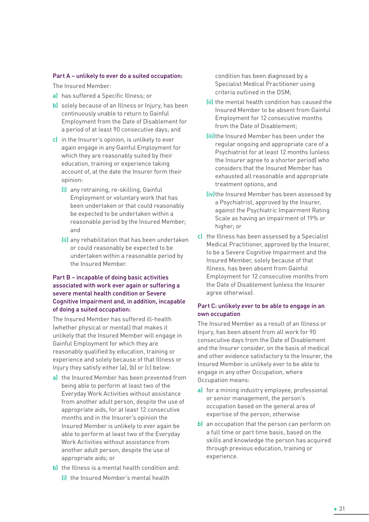#### Part A – unlikely to ever do a suited occupation:

The Insured Member:

- a) has suffered a Specific Illness; or
- b) solely because of an Illness or Injury, has been continuously unable to return to Gainful Employment from the Date of Disablement for a period of at least 90 consecutive days; and
- c) in the Insurer's opinion, is unlikely to ever again engage in any Gainful Employment for which they are reasonably suited by their education, training or experience taking account of, at the date the Insurer form their opinion:
	- (i) any retraining, re-skilling, Gainful Employment or voluntary work that has been undertaken or that could reasonably be expected to be undertaken within a reasonable period by the Insured Member; and
	- (ii) any rehabilitation that has been undertaken or could reasonably be expected to be undertaken within a reasonable period by the Insured Member.

#### Part B – incapable of doing basic activities associated with work ever again or suffering a severe mental health condition or Severe Cognitive Impairment and, in addition, incapable of doing a suited occupation:

The Insured Member has suffered ill-health (whether physical or mental) that makes it unlikely that the Insured Member will engage in Gainful Employment for which they are reasonably qualified by education, training or experience and solely because of that Illness or Injury they satisfy either (a), (b) or (c) below:

- a) the Insured Member has been prevented from being able to perform at least two of the Everyday Work Activities without assistance from another adult person, despite the use of appropriate aids, for at least 12 consecutive months and in the Insurer's opinion the Insured Member is unlikely to ever again be able to perform at least two of the Everyday Work Activities without assistance from another adult person, despite the use of appropriate aids; or
- b) the Illness is a mental health condition and:
	- (i) the Insured Member's mental health

condition has been diagnosed by a Specialist Medical Practitioner using criteria outlined in the DSM;

- (ii) the mental health condition has caused the Insured Member to be absent from Gainful Employment for 12 consecutive months from the Date of Disablement;
- (iii)the Insured Member has been under the regular ongoing and appropriate care of a Psychiatrist for at least 12 months (unless the Insurer agree to a shorter period) who considers that the Insured Member has exhausted all reasonable and appropriate treatment options, and
- (iv) the Insured Member has been assessed by a Psychiatrist, approved by the Insurer, against the Psychiatric Impairment Rating Scale as having an impairment of 19% or higher; or
- c) the Illness has been assessed by a Specialist Medical Practitioner, approved by the Insurer, to be a Severe Cognitive Impairment and the Insured Member, solely because of that Illness, has been absent from Gainful Employment for 12 consecutive months from the Date of Disablement (unless the Insurer agree otherwise).

#### Part C: unlikely ever to be able to engage in an own occupation

The Insured Member as a result of an Illness or Injury, has been absent from all work for 90 consecutive days from the Date of Disablement and the Insurer consider, on the basis of medical and other evidence satisfactory to the Insurer, the Insured Member is unlikely ever to be able to engage in any other Occupation, where Occupation means:

- a) for a mining industry employee, professional or senior management, the person's occupation based on the general area of expertise of the person; otherwise
- b) an occupation that the person can perform on a full time or part time basis, based on the skills and knowledge the person has acquired through previous education, training or experience.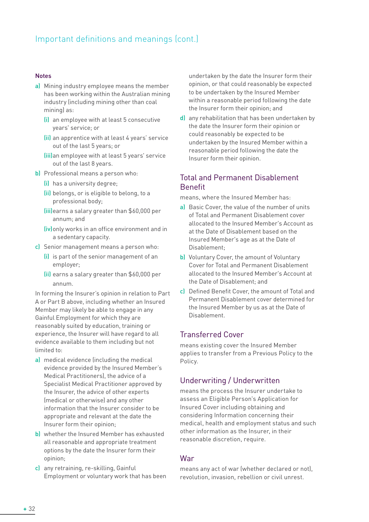## Important definitions and meanings (cont.)

#### Notes

- a) Mining industry employee means the member has been working within the Australian mining industry (including mining other than coal mining) as:
	- (i) an employee with at least 5 consecutive years' service; or
	- (ii) an apprentice with at least 4 years' service out of the last 5 years; or
	- (iii)an employee with at least 5 years' service out of the last 8 years.
- b) Professional means a person who:
	- (i) has a university degree;
	- (ii) belongs, or is eligible to belong, to a professional body;
	- (iii)earns a salary greater than \$60,000 per annum; and
	- (iv)only works in an office environment and in a sedentary capacity.
- c) Senior management means a person who:
	- (i) is part of the senior management of an employer;
	- (ii) earns a salary greater than \$60,000 per annum.

In forming the Insurer's opinion in relation to Part A or Part B above, including whether an Insured Member may likely be able to engage in any Gainful Employment for which they are reasonably suited by education, training or experience, the Insurer will have regard to all evidence available to them including but not limited to:

- a) medical evidence (including the medical evidence provided by the Insured Member's Medical Practitioners), the advice of a Specialist Medical Practitioner approved by the Insurer, the advice of other experts (medical or otherwise) and any other information that the Insurer consider to be appropriate and relevant at the date the Insurer form their opinion;
- b) whether the Insured Member has exhausted all reasonable and appropriate treatment options by the date the Insurer form their opinion;
- c) any retraining, re-skilling, Gainful Employment or voluntary work that has been

undertaken by the date the Insurer form their opinion, or that could reasonably be expected to be undertaken by the Insured Member within a reasonable period following the date the Insurer form their opinion; and

d) any rehabilitation that has been undertaken by the date the Insurer form their opinion or could reasonably be expected to be undertaken by the Insured Member within a reasonable period following the date the Insurer form their opinion.

## Total and Permanent Disablement Benefit

means, where the Insured Member has:

- a) Basic Cover, the value of the number of units of Total and Permanent Disablement cover allocated to the Insured Member's Account as at the Date of Disablement based on the Insured Member's age as at the Date of Disablement;
- b) Voluntary Cover, the amount of Voluntary Cover for Total and Permanent Disablement allocated to the Insured Member's Account at the Date of Disablement; and
- c) Defined Benefit Cover, the amount of Total and Permanent Disablement cover determined for the Insured Member by us as at the Date of Disablement.

#### Transferred Cover

means existing cover the Insured Member applies to transfer from a Previous Policy to the Policy.

#### Underwriting / Underwritten

means the process the Insurer undertake to assess an Eligible Person's Application for Insured Cover including obtaining and considering Information concerning their medical, health and employment status and such other information as the Insurer, in their reasonable discretion, require.

#### War

means any act of war (whether declared or not), revolution, invasion, rebellion or civil unrest.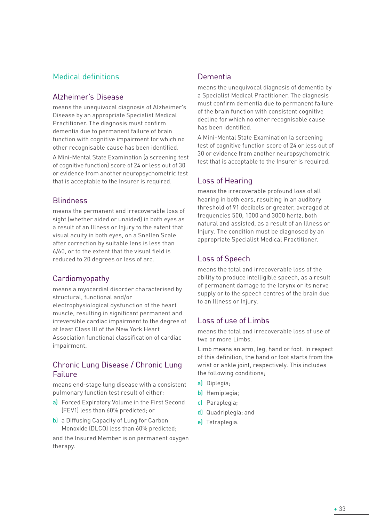## Medical definitions

## Alzheimer's Disease

means the unequivocal diagnosis of Alzheimer's Disease by an appropriate Specialist Medical Practitioner. The diagnosis must confirm dementia due to permanent failure of brain function with cognitive impairment for which no other recognisable cause has been identified.

A Mini-Mental State Examination (a screening test of cognitive function) score of 24 or less out of 30 or evidence from another neuropsychometric test that is acceptable to the Insurer is required.

## **Blindness**

means the permanent and irrecoverable loss of sight (whether aided or unaided) in both eyes as a result of an Illness or Injury to the extent that visual acuity in both eyes, on a Snellen Scale after correction by suitable lens is less than 6/60, or to the extent that the visual field is reduced to 20 degrees or less of arc.

## Cardiomyopathy

means a myocardial disorder characterised by structural, functional and/or electrophysiological dysfunction of the heart muscle, resulting in significant permanent and irreversible cardiac impairment to the degree of at least Class III of the New York Heart Association functional classification of cardiac impairment.

## Chronic Lung Disease / Chronic Lung Failure

means end-stage lung disease with a consistent pulmonary function test result of either:

- a) Forced Expiratory Volume in the First Second (FEV1) less than 60% predicted; or
- b) a Diffusing Capacity of Lung for Carbon Monoxide (DLCO) less than 60% predicted;

and the Insured Member is on permanent oxygen therapy.

## Dementia

means the unequivocal diagnosis of dementia by a Specialist Medical Practitioner. The diagnosis must confirm dementia due to permanent failure of the brain function with consistent cognitive decline for which no other recognisable cause has been identified.

A Mini-Mental State Examination (a screening test of cognitive function score of 24 or less out of 30 or evidence from another neuropsychometric test that is acceptable to the Insurer is required.

## Loss of Hearing

means the irrecoverable profound loss of all hearing in both ears, resulting in an auditory threshold of 91 decibels or greater, averaged at frequencies 500, 1000 and 3000 hertz, both natural and assisted, as a result of an Illness or Injury. The condition must be diagnosed by an appropriate Specialist Medical Practitioner.

## Loss of Speech

means the total and irrecoverable loss of the ability to produce intelligible speech, as a result of permanent damage to the larynx or its nerve supply or to the speech centres of the brain due to an Illness or Injury.

## Loss of use of Limbs

means the total and irrecoverable loss of use of two or more Limbs.

Limb means an arm, leg, hand or foot. In respect of this definition, the hand or foot starts from the wrist or ankle joint, respectively. This includes the following conditions;

- a) Diplegia;
- b) Hemiplegia;
- c) Paraplegia;
- d) Quadriplegia; and
- e) Tetraplegia.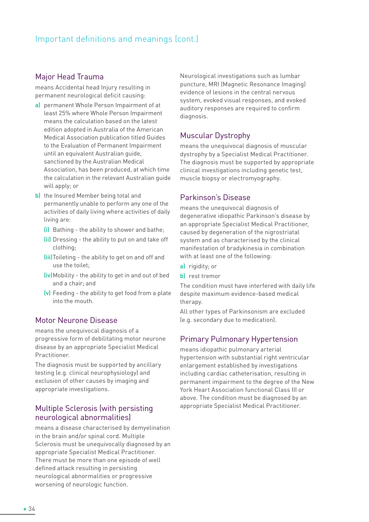## Major Head Trauma

means Accidental head Injury resulting in permanent neurological deficit causing:

- a) permanent Whole Person Impairment of at least 25% where Whole Person Impairment means the calculation based on the latest edition adopted in Australia of the American Medical Association publication titled Guides to the Evaluation of Permanent Impairment until an equivalent Australian guide, sanctioned by the Australian Medical Association, has been produced, at which time the calculation in the relevant Australian guide will apply; or
- b) the Insured Member being total and permanently unable to perform any one of the activities of daily living where activities of daily living are:
	- (i) Bathing the ability to shower and bathe;
	- (ii) Dressing the ability to put on and take off clothing;
	- (iii)Toileting the ability to get on and off and use the toilet;
	- (iv)Mobility the ability to get in and out of bed and a chair; and
	- (v) Feeding the ability to get food from a plate into the mouth.

## Motor Neurone Disease

means the unequivocal diagnosis of a progressive form of debilitating motor neurone disease by an appropriate Specialist Medical Practitioner.

The diagnosis must be supported by ancillary testing (e.g. clinical neurophysiology) and exclusion of other causes by imaging and appropriate investigations.

## Multiple Sclerosis (with persisting neurological abnormalities)

means a disease characterised by demyelination in the brain and/or spinal cord. Multiple Sclerosis must be unequivocally diagnosed by an appropriate Specialist Medical Practitioner. There must be more than one episode of well defined attack resulting in persisting neurological abnormalities or progressive worsening of neurologic function.

Neurological investigations such as lumbar puncture, MRI (Magnetic Resonance Imaging) evidence of lesions in the central nervous system, evoked visual responses, and evoked auditory responses are required to confirm diagnosis.

## Muscular Dystrophy

means the unequivocal diagnosis of muscular dystrophy by a Specialist Medical Practitioner. The diagnosis must be supported by appropriate clinical investigations including genetic test, muscle biopsy or electromyography.

## Parkinson's Disease

means the unequivocal diagnosis of degenerative idiopathic Parkinson's disease by an appropriate Specialist Medical Practitioner, caused by degeneration of the nigrostriatal system and as characterised by the clinical manifestation of bradykinesia in combination with at least one of the following:

- a) rigidity; or
- b) rest tremor

The condition must have interfered with daily life despite maximum evidence-based medical therapy.

All other types of Parkinsonism are excluded (e.g. secondary due to medication).

## Primary Pulmonary Hypertension

means idiopathic pulmonary arterial hypertension with substantial right ventricular enlargement established by investigations including cardiac catheterisation, resulting in permanent impairment to the degree of the New York Heart Association functional Class III or above. The condition must be diagnosed by an appropriate Specialist Medical Practitioner.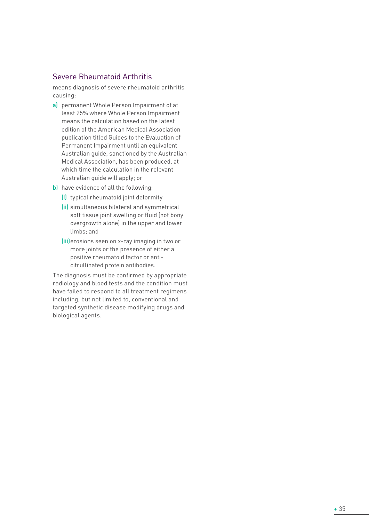## Severe Rheumatoid Arthritis

means diagnosis of severe rheumatoid arthritis causing:

- a) permanent Whole Person Impairment of at least 25% where Whole Person Impairment means the calculation based on the latest edition of the American Medical Association publication titled Guides to the Evaluation of Permanent Impairment until an equivalent Australian guide, sanctioned by the Australian Medical Association, has been produced, at which time the calculation in the relevant Australian guide will apply; or
- b) have evidence of all the following:
	- (i) typical rheumatoid joint deformity
	- (ii) simultaneous bilateral and symmetrical soft tissue joint swelling or fluid (not bony overgrowth alone) in the upper and lower limbs; and
	- (iii)erosions seen on x-ray imaging in two or more joints or the presence of either a positive rheumatoid factor or anticitrullinated protein antibodies.

The diagnosis must be confirmed by appropriate radiology and blood tests and the condition must have failed to respond to all treatment regimens including, but not limited to, conventional and targeted synthetic disease modifying drugs and biological agents.